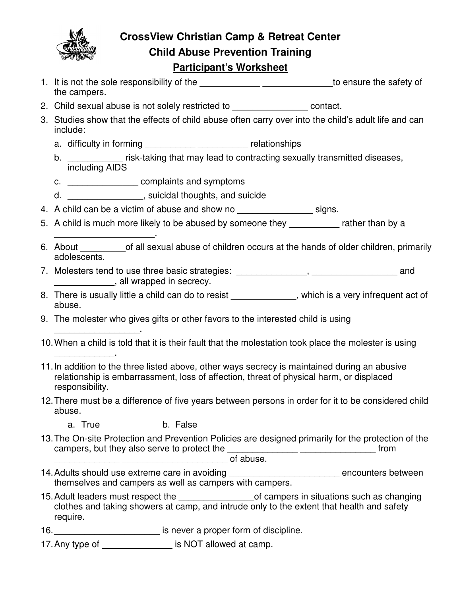

**CrossView Christian Camp & Retreat Center Child Abuse Prevention Training**

## **Participant's Worksheet**

- 1. It is not the sole responsibility of the <u>equal to ensure the safety of</u> the campers.
- 2. Child sexual abuse is not solely restricted to example of contact.
- 3. Studies show that the effects of child abuse often carry over into the child's adult life and can include:
	- a. difficulty in forming example and the relationships relationships
	- b. \_\_\_\_\_\_\_\_\_ risk-taking that may lead to contracting sexually transmitted diseases, including AIDS
	- c. **complaints and symptoms**
	- d. \_\_\_\_\_\_\_\_\_\_\_\_\_\_\_, suicidal thoughts, and suicide
- 4. A child can be a victim of abuse and show no \_\_\_\_\_\_\_\_\_\_\_\_\_\_\_\_\_\_\_\_ signs.
- 5. A child is much more likely to be abused by someone they \_\_\_\_\_\_\_\_\_\_\_ rather than by a \_\_\_\_\_\_\_\_\_\_\_\_\_\_\_\_\_\_\_\_.
- 6. About of all sexual abuse of children occurs at the hands of older children, primarily adolescents.
- 7. Molesters tend to use three basic strategies: \_\_\_\_\_\_\_\_\_\_\_\_\_\_, \_\_\_\_\_\_\_\_\_\_\_\_\_\_\_\_ and \_\_\_\_\_\_\_\_\_\_\_\_, all wrapped in secrecy.
- 8. There is usually little a child can do to resist \_\_\_\_\_\_\_\_\_\_\_\_, which is a very infrequent act of abuse.
- 9. The molester who gives gifts or other favors to the interested child is using
- 10. When a child is told that it is their fault that the molestation took place the molester is using
- 11. In addition to the three listed above, other ways secrecy is maintained during an abusive relationship is embarrassment, loss of affection, threat of physical harm, or displaced responsibility.
- 12. There must be a difference of five years between persons in order for it to be considered child abuse.
	- a. True b. False

\_\_\_\_\_\_\_\_\_\_\_\_\_\_\_\_\_.

\_\_\_\_\_\_\_\_\_\_\_\_.

- 13. The On-site Protection and Prevention Policies are designed primarily for the protection of the campers, but they also serve to protect the \_\_\_\_\_\_\_\_\_\_\_\_\_\_ \_\_\_\_\_\_\_\_\_\_\_\_\_\_\_ from \_\_\_\_\_\_\_\_\_\_\_\_\_ \_\_\_\_\_\_\_\_\_\_\_\_\_\_\_\_\_\_\_\_\_ of abuse.
- 14. Adults should use extreme care in avoiding \_\_\_\_\_\_\_\_\_\_\_\_\_\_\_\_\_\_\_\_\_\_\_\_\_\_\_\_ encounters between themselves and campers as well as campers with campers.
- 15. Adult leaders must respect the \_\_\_\_\_\_\_\_\_\_\_\_\_\_\_of campers in situations such as changing clothes and taking showers at camp, and intrude only to the extent that health and safety require.
- 16. **16. 16. 16. 16. 16. 16. 16. 16. 16. 16. 16. 16. 16. 16. 16. 16. 16. 16. 16. 16. 16. 16. 16. 16. 16. 16. 16. 16. 16. 16. 16. 16. 16. 16. 16. 16. 1**
- 17. Any type of \_\_\_\_\_\_\_\_\_\_\_\_\_\_\_\_\_ is NOT allowed at camp.